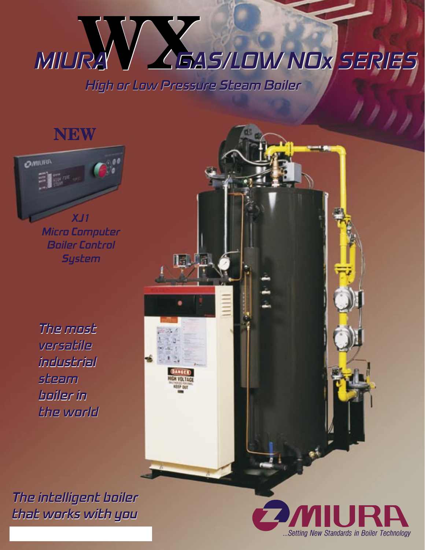# MIURA<sup>Y</sup> High or Low Pressure Steam Boiler GAS/LOW NOx SERIES

فاللق

**DANGER** 

## **NEW**



Micro Computer Boiler Control **System** 

The most The most versatile versatile industrial industrial steam steam boiler in boiler in the world the world

The intelligent boiler The intelligent boiler that works with you that works with you

www.miuraboiler aboiler.com

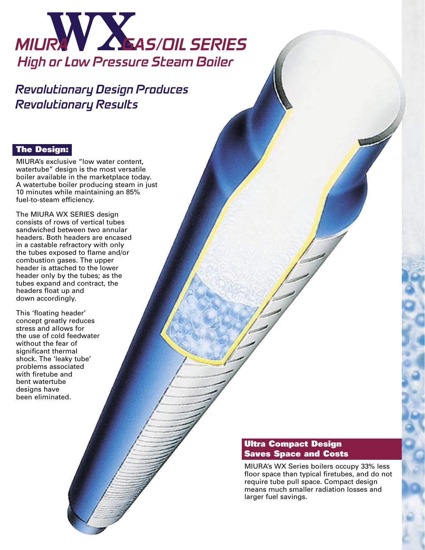

Revolutionary Design Produces Revolutionary Results

## The Design:

MIURA's exclusive "low water content, watertube" design is the most versatile boiler available in the marketplace today. A watertube boiler producing steam in just 10 minutes while maintaining an 85% fuel-to-steam efficiency.

The MIURA WX SERIES design consists of rows of vertical tubes sandwiched between two annular headers. Both headers are encased in a castable refractory with only the tubes exposed to flame and/or combustion gases. The upper header is attached to the lower header only by the tubes; as the tubes expand and contract, the headers float up and down accordingly.

This 'floating header' concept greatly reduces stress and allows for the use of cold feedwater without the fear of significant thermal shock. The 'leaky tube' problems associated with firetube and bent watertube designs have been eliminated.

## Ultra Compact Design Saves Space and Costs

MIURA's WX Series boilers occupy 33% less floor space than typical firetubes, and do not require tube pull space. Compact design means much smaller radiation losses and larger fuel savings.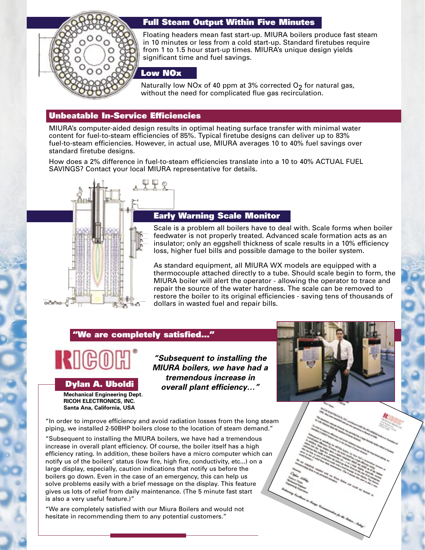

## Full Steam Output Within Five Minutes

Floating headers mean fast start-up. MIURA boilers produce fast steam in 10 minutes or less from a cold start-up. Standard firetubes require from 1 to 1.5 hour start-up times. MIURA's unique design yields significant time and fuel savings.

## Low NOx

Naturally low NOx of 40 ppm at 3% corrected  $O<sub>2</sub>$  for natural gas, without the need for complicated flue gas recirculation.

## Unbeatable In-Service Efficiencies

MIURA's computer-aided design results in optimal heating surface transfer with minimal water content for fuel-to-steam efficiencies of 85%. Typical firetube designs can deliver up to 83% fuel-to-steam efficiencies. However, in actual use, MIURA averages 10 to 40% fuel savings over standard firetube designs.

How does a 2% difference in fuel-to-steam efficiencies translate into a 10 to 40% ACTUAL FUEL SAVINGS? Contact your local MIURA representative for details.



## Early Warning Scale Monitor

Scale is a problem all boilers have to deal with. Scale forms when boiler feedwater is not properly treated. Advanced scale formation acts as an insulator; only an eggshell thickness of scale results in a 10% efficiency loss, higher fuel bills and possible damage to the boiler system.

As standard equipment, all MIURA WX models are equipped with a thermocouple attached directly to a tube. Should scale begin to form, the MIURA boiler will alert the operator - allowing the operator to trace and repair the source of the water hardness. The scale can be removed to restore the boiler to its original efficiencies - saving tens of thousands of dollars in wasted fuel and repair bills.

## "We are completely satisfied…"



Dylan A. Uboldi

**Mechanical Engineering Dept. RICOH ELECTRONICS, INC. Santa Ana, California, USA**

**"Subsequent to installing the MIURA boilers, we have had a tremendous increase in overall plant efficiency…"**



"In order to improve efficiency and avoid radiation losses from the long steam piping, we installed 2-50BHP boilers close to the location of steam demand."

"Subsequent to installing the MIURA boilers, we have had a tremendous increase in overall plant efficiency. Of course, the boiler itself has a high efficiency rating. In addition, these boilers have a micro computer which can notify us of the boilers' status (low fire, high fire, conductivity, etc...) on a large display, especially, caution indications that notify us before the boilers go down. Even in the case of an emergency, this can help us solve problems easily with a brief message on the display. This feature gives us lots of relief from daily maintenance. (The 5 minute fast start is also a very useful feature.)"

"We are completely satisfied with our Miura Boilers and would not hesitate in recommending them to any potential customers."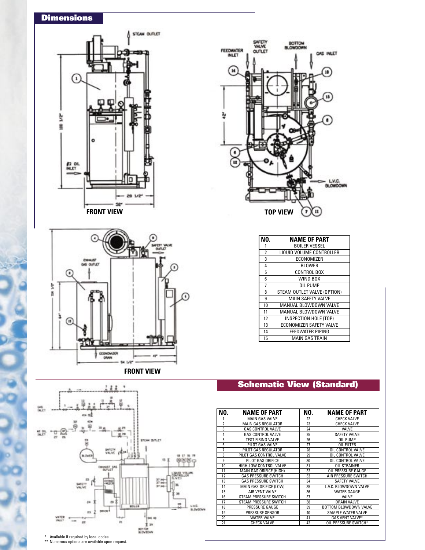## **Dimensions**











| NO.            | <b>NAME OF PART</b>         |
|----------------|-----------------------------|
| 1              | <b>BOILER VESSEL</b>        |
| $\overline{2}$ | LIQUID VOLUME CONTROLLER    |
| 3              | ECONOMIZER                  |
| 4              | <b>BLOWER</b>               |
| 5              | <b>CONTROL BOX</b>          |
| 6              | WIND BOX                    |
| 7              | OIL PUMP                    |
| 8              | STEAM OUTLET VALVE (OPTION) |
| 9              | <b>MAIN SAFETY VALVE</b>    |
| 10             | MANUAL BLOWDOWN VALVE       |
| 11             | MANUAL BLOWDOWN VALVE       |
| 12             | INSPECTION HOLE (TOP)       |
| 13             | ECONOMIZER SAFETY VALVE     |
| 14             | <b>FEEDWATER PIPING</b>     |
| 15             | <b>MAIN GAS TRAIN</b>       |

## Schematic View (Standard)

| NO.            | <b>NAME OF PART</b>          | NO. | <b>NAME OF PART</b>       |
|----------------|------------------------------|-----|---------------------------|
|                | <b>MAIN GAS VALVE</b>        | 22  | <b>CHECK VALVE</b>        |
| $\overline{2}$ | <b>MAIN GAS REGULATOR</b>    | 23  | <b>CHECK VALVE</b>        |
| 3              | <b>GAS CONTROL VALVE</b>     | 24  | VALVE                     |
| 4              | <b>GAS CONTROL VALVE</b>     | 25  | <b>SAFETY VALVE</b>       |
| 5              | <b>TEST FIRING VALVE</b>     | 26  | OIL PUMP                  |
| 6              | PILOT GAS VALVE              | 27  | OIL FILTER                |
| 7              | PILOT GAS REGULATOR          | 28  | OIL CONTROL VALVE         |
| 8              | PILOT GAS CONTROL VALVE      | 29  | OIL CONTROL VALVE         |
| 9              | PILOT GAS ORIFICE            | 30  | OIL CONTROL VALVE         |
| 10             | HIGH-LOW CONTROL VALVE       | 31  | <b>OIL STRAINER</b>       |
| 11             | MAIN GAS ORIFICE (HIGH)      | 32  | OIL PRESSURE GAUGE        |
| 12             | <b>GAS PRESSURE SWITCH</b>   | 33  | AIR PRESSURE SWITCH       |
| 13             | <b>GAS PRESSURE SWITCH</b>   | 34  | <b>SAFETY VALVE</b>       |
| 14             | MAIN GAS ORIFICE (LOW)       | 35  | L.V.C. BLOWDOWN VALVE     |
| 15             | AIR VENT VALVE               | 36  | WATER GAUGE               |
| 16             | <b>STEAM PRESSURE SWITCH</b> | 37  | VALVE                     |
| 17             | <b>STEAM PRESSURE SWITCH</b> | 38  | DRAIN VALVE               |
| 18             | PRESSURE GAUGE               | 39  | BOTTOM BLOWDOWN VALVE     |
| 19             | PRESSURE SENSOR              | 40  | <b>SAMPLE WATER VALVE</b> |
| 20             | <b>WATER VALVE</b>           | 41  | GAS VENT VALVE*           |
| 21             | <b>CHECK VALVE</b>           | 42  | OIL PRESSURE SWITCH*      |

\* Available if required by local codes. \*\* Numerous options are available upon request.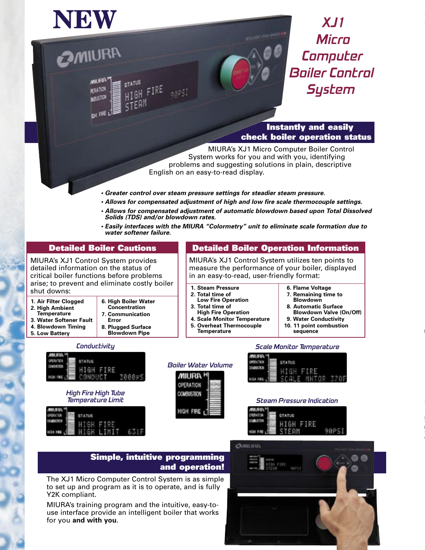

**OMIURA** 

**MILIFUR!** 

**SERATION** 

MISTOR

DH FRE L'

**STATUS** 

saaši

## XJ1 **Micro** Computer Boiler Control **System**

Instantly and easily check boiler operation status

MIURA's XJ1 Micro Computer Boiler Control System works for you and with you, identifying problems and suggesting solutions in plain, descriptive English on an easy-to-read display.

in an easy-to-read, user-friendly format:

Detailed Boiler Operation Information MIURA's XJ1 Control System utilizes ten points to measure the performance of your boiler, displayed

**• Greater control over steam pressure settings for steadier steam pressure.**

**1. Steam Pressure 2. Total time of Low Fire Operation 3. Total time of High Fire Operation 4. Scale Monitor Temperature 5. Overheat Thermocouple Temperature**

- **Allows for compensated adjustment of high and low fire scale thermocouple settings.**
- **Allows for compensated adjustment of automatic blowdown based upon Total Dissolved Solids (TDS) and/or blowdown rates.**
- **Easily interfaces with the MIURA "Colormetry" unit to eliminate scale formation due to water softener failure.**

## Detailed Boiler Cautions

MIURA's XJ1 Control System provides detailed information on the status of critical boiler functions before problems arise; to prevent and eliminate costly boiler shut downs:

**1. Air Filter Clogged 2. High Ambient Temperature**

**5. Low Battery**

- **6. High Boiler Water Concentration 7. Communication**
- **3. Water Softener Fault 4. Blowdown Timing Error**
	- **8. Plugged Surface Blowdown Pipe**

### **Conductivity**



High Fire High Tube Temperature Limit

## Boiler Water Volume





**6. Flame Voltage 7. Remaining time to Blowdown 8. Automatic Surface Blowdown Valve (On/Off) 9. Water Conductivity 10. 11 point combustion sequence**

### Steam Pressure Indication

| <b>MIURA!</b> |               |  |
|---------------|---------------|--|
| <b>CREATE</b> | <b>STATUS</b> |  |
| 00834709      | HI GH<br>FТ   |  |
|               |               |  |

## Simple, intuitive programming and operation!

The XJ1 Micro Computer Control System is as simple to set up and program as it is to operate, and is fully Y2K compliant.

MIURA's training program and the intuitive, easy-touse interface provide an intelligent boiler that works for you **and with you**.